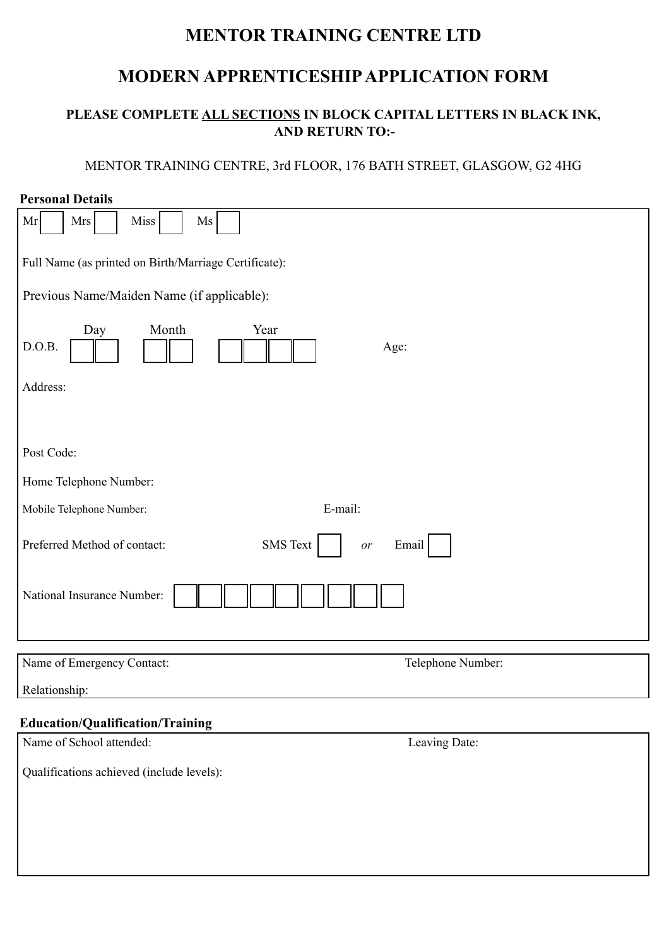# **MENTOR TRAINING CENTRE LTD**

## **MODERN APPRENTICESHIP APPLICATION FORM**

## **PLEASE COMPLETE ALL SECTIONS IN BLOCK CAPITAL LETTERS IN BLACK INK, AND RETURN TO:-**

## MENTOR TRAINING CENTRE, 3rd FLOOR, 176 BATH STREET, GLASGOW, G2 4HG

| <b>Personal Details</b>                                        |
|----------------------------------------------------------------|
| <b>Mrs</b><br>Miss<br>Mr<br>Ms                                 |
| Full Name (as printed on Birth/Marriage Certificate):          |
| Previous Name/Maiden Name (if applicable):                     |
| Month<br>Day<br>Year<br>D.O.B.<br>Age:                         |
| Address:                                                       |
|                                                                |
| Post Code:                                                     |
| Home Telephone Number:                                         |
| E-mail:<br>Mobile Telephone Number:                            |
| <b>SMS</b> Text<br>Preferred Method of contact:<br>Email<br>or |
| National Insurance Number:                                     |
| Name of Emergency Contact:<br>Telephone Number:                |
| Relationship:                                                  |
| <b>Education/Qualification/Training</b>                        |
| Name of School attended:<br>Leaving Date:                      |
| Qualifications achieved (include levels):                      |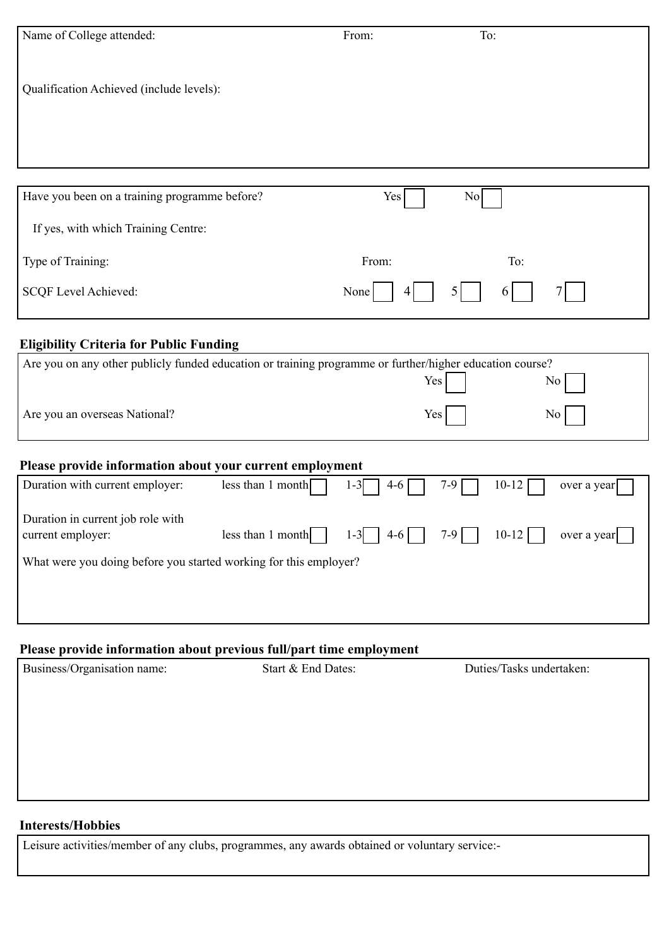| Name of College attended:                                                                                | From: | To:            |
|----------------------------------------------------------------------------------------------------------|-------|----------------|
|                                                                                                          |       |                |
|                                                                                                          |       |                |
|                                                                                                          |       |                |
| Qualification Achieved (include levels):                                                                 |       |                |
|                                                                                                          |       |                |
|                                                                                                          |       |                |
|                                                                                                          |       |                |
|                                                                                                          |       |                |
|                                                                                                          |       |                |
|                                                                                                          |       |                |
| Have you been on a training programme before?                                                            | Yes   | N <sub>0</sub> |
|                                                                                                          |       |                |
| If yes, with which Training Centre:                                                                      |       |                |
|                                                                                                          |       |                |
| Type of Training:                                                                                        | From: | To:            |
|                                                                                                          |       |                |
| SCQF Level Achieved:                                                                                     | None  |                |
|                                                                                                          |       | 6              |
|                                                                                                          |       |                |
|                                                                                                          |       |                |
| <b>Eligibility Criteria for Public Funding</b>                                                           |       |                |
| Are you on any other publicly funded education or training programme or further/higher education course? |       |                |
|                                                                                                          | Yes   |                |
|                                                                                                          |       | No.            |

**Please provide information about your current employment**

| Duration in current job role with<br>current employer:            | $\text{less}$ than 1 month $\vert$ | $1-3$   4-6 | 7-9   10-12 | over a year |
|-------------------------------------------------------------------|------------------------------------|-------------|-------------|-------------|
| What were you doing before you started working for this employer? |                                    |             |             |             |
|                                                                   |                                    |             |             |             |
|                                                                   |                                    |             |             |             |
|                                                                   |                                    |             |             |             |

Duration with current employer: less than 1 month  $1-3$   $1-3$   $1-4-6$   $7-9$   $7-9$   $10-12$  over a year

Are you an overseas National? No No No

## **Please provide information about previous full/part time employment**

| Business/Organisation name: | Start & End Dates: | Duties/Tasks undertaken: |
|-----------------------------|--------------------|--------------------------|
|                             |                    |                          |
|                             |                    |                          |
|                             |                    |                          |
|                             |                    |                          |
|                             |                    |                          |
|                             |                    |                          |

#### **Interests/Hobbies**

Leisure activities/member of any clubs, programmes, any awards obtained or voluntary service:-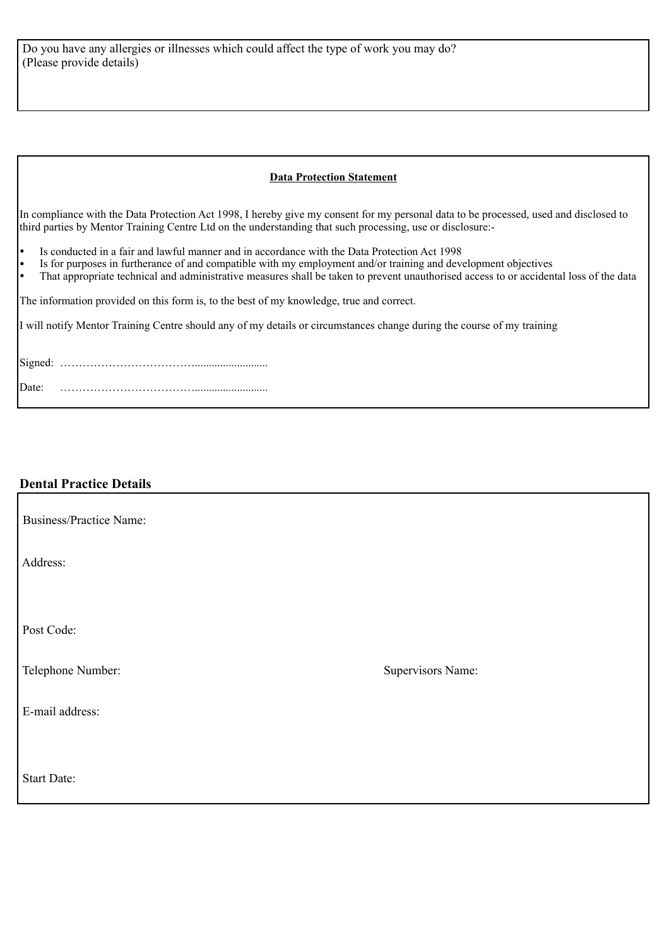#### **Data Protection Statement**

In compliance with the Data Protection Act 1998, I hereby give my consent for my personal data to be processed, used and disclosed to third parties by Mentor Training Centre Ltd on the understanding that such processing, use or disclosure:-

- Is conducted in a fair and lawful manner and in accordance with the Data Protection Act 1998
- Is for purposes in furtherance of and compatible with my employment and/or training and development objectives
- That appropriate technical and administrative measures shall be taken to prevent unauthorised access to or accidental loss of the data

The information provided on this form is, to the best of my knowledge, true and correct.

I will notify Mentor Training Centre should any of my details or circumstances change during the course of my training

Signed: ……………………………….......................... Date: ………………………………..........................

#### **Dental Practice Details**

| <b>Business/Practice Name:</b> |                   |
|--------------------------------|-------------------|
| Address:                       |                   |
|                                |                   |
| Post Code:                     |                   |
| Telephone Number:              | Supervisors Name: |
| E-mail address:                |                   |
|                                |                   |
| Start Date:                    |                   |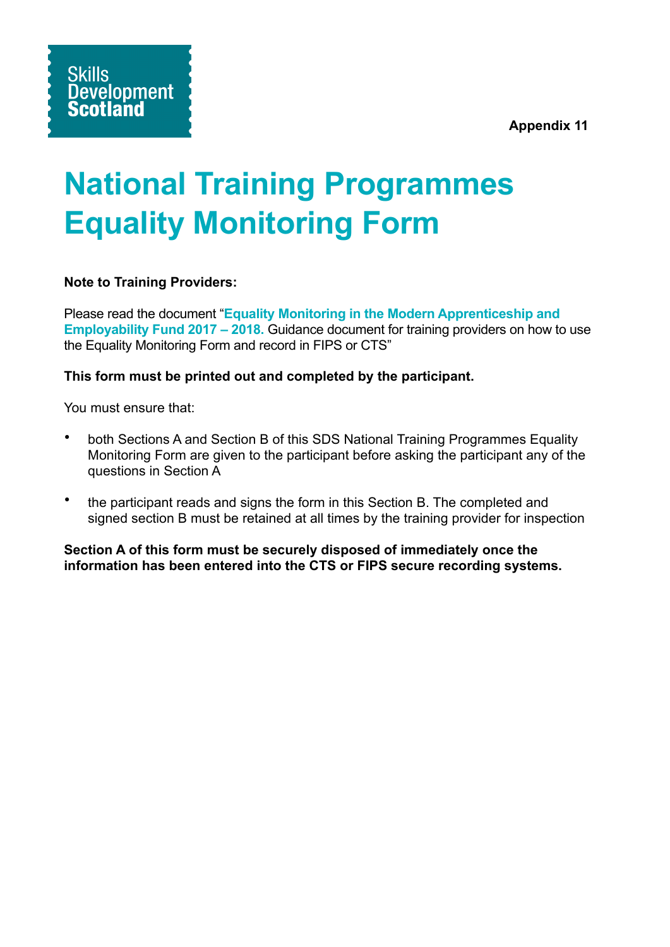**Appendix 11**

# **National Training Programmes Equality Monitoring Form**

### **Note to Training Providers:**

Please read the document "**Equality Monitoring in the Modern Apprenticeship and Employability Fund 2017 – 2018.** Guidance document for training providers on how to use the Equality Monitoring Form and record in FIPS or CTS"

#### **This form must be printed out and completed by the participant.**

You must ensure that:

- both Sections A and Section B of this SDS National Training Programmes Equality Monitoring Form are given to the participant before asking the participant any of the questions in Section A
- the participant reads and signs the form in this Section B. The completed and signed section B must be retained at all times by the training provider for inspection

**Section A of this form must be securely disposed of immediately once the information has been entered into the CTS or FIPS secure recording systems.**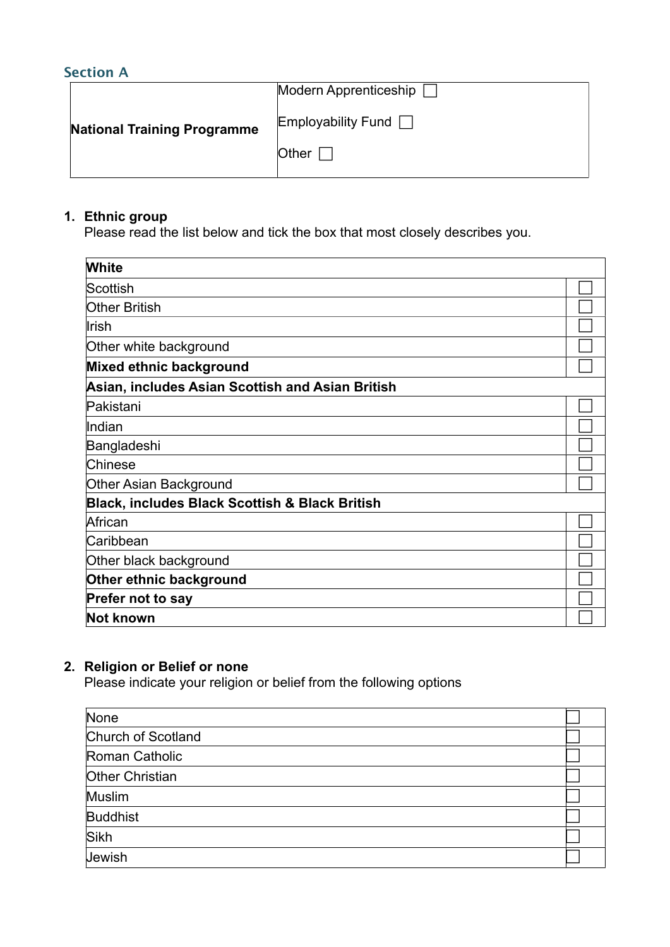## **Section A**

|                                    | Modern Apprenticeship     |
|------------------------------------|---------------------------|
| <b>National Training Programme</b> | Employability Fund $\Box$ |
|                                    | Other                     |

#### **1. Ethnic group**

Please read the list below and tick the box that most closely describes you.

| White                                                     |  |
|-----------------------------------------------------------|--|
| Scottish                                                  |  |
| <b>Other British</b>                                      |  |
| <b>Irish</b>                                              |  |
| Other white background                                    |  |
| Mixed ethnic background                                   |  |
| Asian, includes Asian Scottish and Asian British          |  |
| Pakistani                                                 |  |
| Indian                                                    |  |
| Bangladeshi                                               |  |
| Chinese                                                   |  |
| Other Asian Background                                    |  |
| <b>Black, includes Black Scottish &amp; Black British</b> |  |
| African                                                   |  |
| Caribbean                                                 |  |
| Other black background                                    |  |
| Other ethnic background                                   |  |
| Prefer not to say                                         |  |
| Not known                                                 |  |

## **2. Religion or Belief or none**

Please indicate your religion or belief from the following options

| None               |  |
|--------------------|--|
| Church of Scotland |  |
| Roman Catholic     |  |
| Other Christian    |  |
| Muslim             |  |
| <b>Buddhist</b>    |  |
| Sikh               |  |
| Jewish             |  |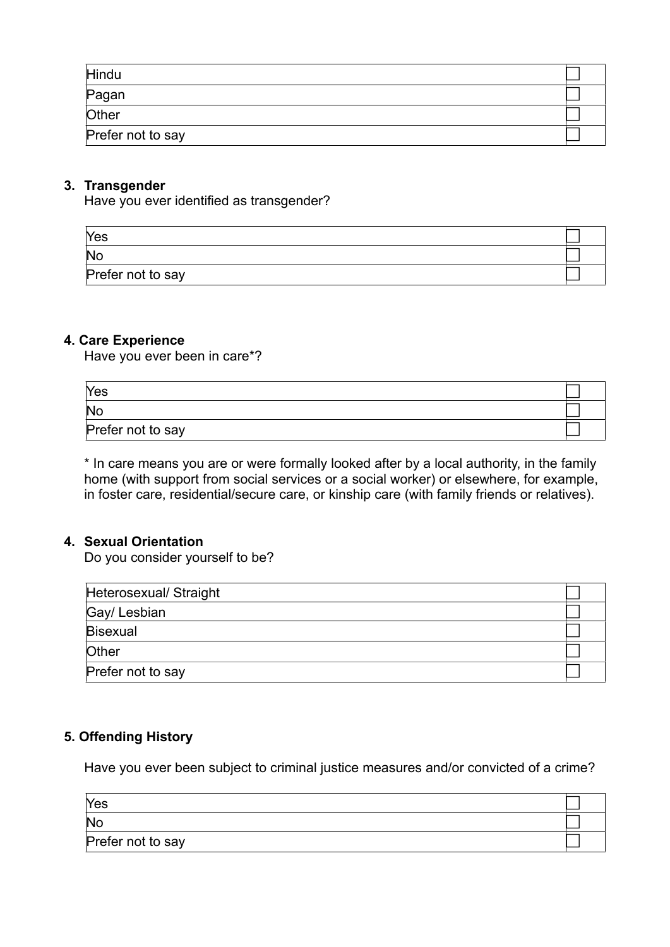| Hindu             |  |
|-------------------|--|
| Pagan             |  |
| Other             |  |
| Prefer not to say |  |

#### **3. Transgender**

Have you ever identified as transgender?

| Yes               |  |
|-------------------|--|
| No                |  |
| Prefer not to say |  |

#### **4. Care Experience**

Have you ever been in care\*?

| Yes               |  |
|-------------------|--|
| No                |  |
| Prefer not to say |  |

\* In care means you are or were formally looked after by a local authority, in the family home (with support from social services or a social worker) or elsewhere, for example, in foster care, residential/secure care, or kinship care (with family friends or relatives).

#### **4. Sexual Orientation**

Do you consider yourself to be?

| Heterosexual/ Straight |  |
|------------------------|--|
| Gay/ Lesbian           |  |
| <b>Bisexual</b>        |  |
| Other                  |  |
| Prefer not to say      |  |

#### **5. Offending History**

Have you ever been subject to criminal justice measures and/or convicted of a crime?

| Yes               |  |
|-------------------|--|
| No                |  |
| Prefer not to say |  |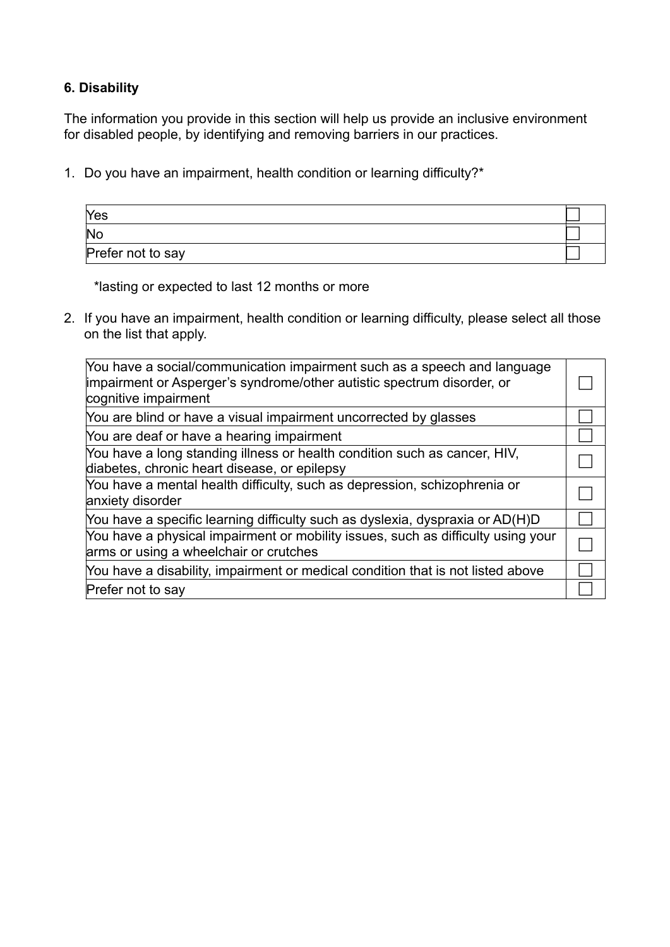## **6. Disability**

The information you provide in this section will help us provide an inclusive environment for disabled people, by identifying and removing barriers in our practices.

1. Do you have an impairment, health condition or learning difficulty?\*

| Yes                    |  |
|------------------------|--|
| $\overline{\text{No}}$ |  |
| Prefer not to say      |  |

\*lasting or expected to last 12 months or more

2. If you have an impairment, health condition or learning difficulty, please select all those on the list that apply.

| You have a social/communication impairment such as a speech and language<br>impairment or Asperger's syndrome/other autistic spectrum disorder, or<br>cognitive impairment |  |
|----------------------------------------------------------------------------------------------------------------------------------------------------------------------------|--|
| You are blind or have a visual impairment uncorrected by glasses                                                                                                           |  |
| You are deaf or have a hearing impairment                                                                                                                                  |  |
| You have a long standing illness or health condition such as cancer, HIV,<br>diabetes, chronic heart disease, or epilepsy                                                  |  |
| You have a mental health difficulty, such as depression, schizophrenia or<br>anxiety disorder                                                                              |  |
| You have a specific learning difficulty such as dyslexia, dyspraxia or AD(H)D                                                                                              |  |
| You have a physical impairment or mobility issues, such as difficulty using your<br>arms or using a wheelchair or crutches                                                 |  |
| You have a disability, impairment or medical condition that is not listed above                                                                                            |  |
| Prefer not to say                                                                                                                                                          |  |
|                                                                                                                                                                            |  |